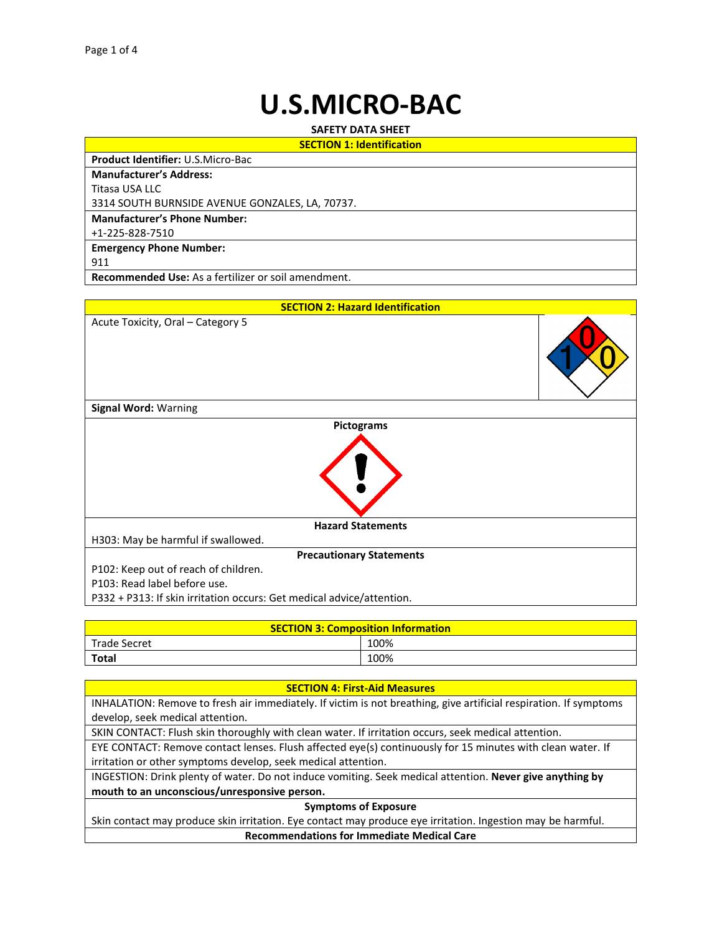# **U.S.MICRO-BAC**

**SAFETY DATA SHEET**

| <b>SECTION 1: Identification</b>                           |
|------------------------------------------------------------|
| <b>Product Identifier: U.S.Micro-Bac</b>                   |
| <b>Manufacturer's Address:</b>                             |
| Titasa USA LLC                                             |
| 3314 SOUTH BURNSIDE AVENUE GONZALES, LA, 70737.            |
| <b>Manufacturer's Phone Number:</b>                        |
| +1-225-828-7510                                            |
| <b>Emergency Phone Number:</b>                             |
| 911                                                        |
| <b>Recommended Use:</b> As a fertilizer or soil amendment. |

| <b>SECTION 2: Hazard Identification</b>                               |  |
|-----------------------------------------------------------------------|--|
| Acute Toxicity, Oral - Category 5                                     |  |
| <b>Signal Word: Warning</b>                                           |  |
| <b>Pictograms</b>                                                     |  |
| <b>Hazard Statements</b>                                              |  |
| H303: May be harmful if swallowed.                                    |  |
| <b>Precautionary Statements</b>                                       |  |
| P102: Keep out of reach of children.                                  |  |
| P103: Read label before use.                                          |  |
| P332 + P313: If skin irritation occurs: Get medical advice/attention. |  |

| <b>SECTION 3: Composition Information</b> |      |  |  |  |
|-------------------------------------------|------|--|--|--|
| <b>Trade Secret</b>                       | 100% |  |  |  |
| <b>Total</b>                              | 100% |  |  |  |

| <b>SECTION 4: First-Aid Measures</b>                                                                              |
|-------------------------------------------------------------------------------------------------------------------|
| INHALATION: Remove to fresh air immediately. If victim is not breathing, give artificial respiration. If symptoms |
| develop, seek medical attention.                                                                                  |
| SKIN CONTACT: Flush skin thoroughly with clean water. If irritation occurs, seek medical attention.               |
| EYE CONTACT: Remove contact lenses. Flush affected eye(s) continuously for 15 minutes with clean water. If        |
| irritation or other symptoms develop, seek medical attention.                                                     |
| INGESTION: Drink plenty of water. Do not induce vomiting. Seek medical attention. Never give anything by          |
| mouth to an unconscious/unresponsive person.                                                                      |
| <b>Symptoms of Exposure</b>                                                                                       |
| Skin contact may produce skin irritation. Eye contact may produce eye irritation. Ingestion may be harmful.       |
| <b>Recommendations for Immediate Medical Care</b>                                                                 |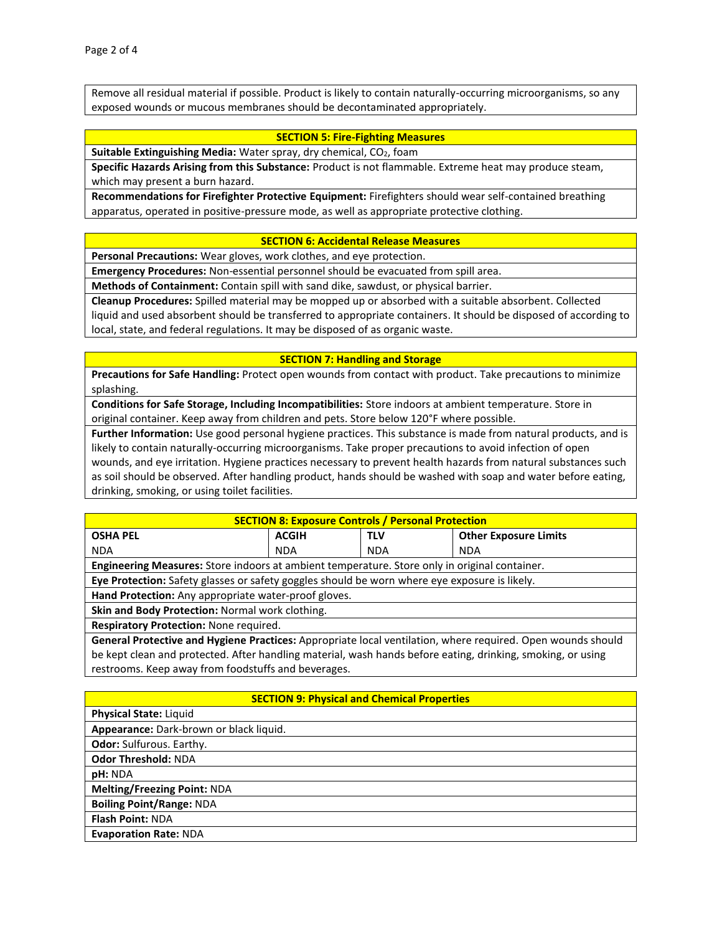Remove all residual material if possible. Product is likely to contain naturally-occurring microorganisms, so any exposed wounds or mucous membranes should be decontaminated appropriately.

# **SECTION 5: Fire-Fighting Measures**

Suitable Extinguishing Media: Water spray, dry chemical, CO<sub>2</sub>, foam

**Specific Hazards Arising from this Substance:** Product is not flammable. Extreme heat may produce steam, which may present a burn hazard.

**Recommendations for Firefighter Protective Equipment:** Firefighters should wear self-contained breathing apparatus, operated in positive-pressure mode, as well as appropriate protective clothing.

#### **SECTION 6: Accidental Release Measures**

**Personal Precautions:** Wear gloves, work clothes, and eye protection.

**Emergency Procedures:** Non-essential personnel should be evacuated from spill area.

**Methods of Containment:** Contain spill with sand dike, sawdust, or physical barrier.

**Cleanup Procedures:** Spilled material may be mopped up or absorbed with a suitable absorbent. Collected liquid and used absorbent should be transferred to appropriate containers. It should be disposed of according to local, state, and federal regulations. It may be disposed of as organic waste.

## **SECTION 7: Handling and Storage**

**Precautions for Safe Handling:** Protect open wounds from contact with product. Take precautions to minimize splashing.

**Conditions for Safe Storage, Including Incompatibilities:** Store indoors at ambient temperature. Store in original container. Keep away from children and pets. Store below 120°F where possible.

**Further Information:** Use good personal hygiene practices. This substance is made from natural products, and is likely to contain naturally-occurring microorganisms. Take proper precautions to avoid infection of open wounds, and eye irritation. Hygiene practices necessary to prevent health hazards from natural substances such as soil should be observed. After handling product, hands should be washed with soap and water before eating, drinking, smoking, or using toilet facilities.

| <b>SECTION 8: Exposure Controls / Personal Protection</b>                                                   |              |            |                              |  |  |
|-------------------------------------------------------------------------------------------------------------|--------------|------------|------------------------------|--|--|
| <b>OSHA PEL</b>                                                                                             | <b>ACGIH</b> | <b>TLV</b> | <b>Other Exposure Limits</b> |  |  |
| <b>NDA</b>                                                                                                  | <b>NDA</b>   | <b>NDA</b> | <b>NDA</b>                   |  |  |
| <b>Engineering Measures:</b> Store indoors at ambient temperature. Store only in original container.        |              |            |                              |  |  |
| Eye Protection: Safety glasses or safety goggles should be worn where eye exposure is likely.               |              |            |                              |  |  |
| Hand Protection: Any appropriate water-proof gloves.                                                        |              |            |                              |  |  |
| <b>Skin and Body Protection: Normal work clothing.</b>                                                      |              |            |                              |  |  |
| <b>Respiratory Protection: None required.</b>                                                               |              |            |                              |  |  |
| General Protective and Hygiene Practices: Appropriate local ventilation, where required. Open wounds should |              |            |                              |  |  |
| be kept clean and protected. After handling material, wash hands before eating, drinking, smoking, or using |              |            |                              |  |  |
| restrooms. Keep away from foodstuffs and beverages.                                                         |              |            |                              |  |  |

## **SECTION 9: Physical and Chemical Properties**

| <b>Physical State: Liquid</b>           |
|-----------------------------------------|
| Appearance: Dark-brown or black liquid. |
| <b>Odor:</b> Sulfurous. Earthy.         |
| <b>Odor Threshold: NDA</b>              |
| pH: NDA                                 |
| <b>Melting/Freezing Point: NDA</b>      |
| <b>Boiling Point/Range: NDA</b>         |
| <b>Flash Point: NDA</b>                 |
| <b>Evaporation Rate: NDA</b>            |
|                                         |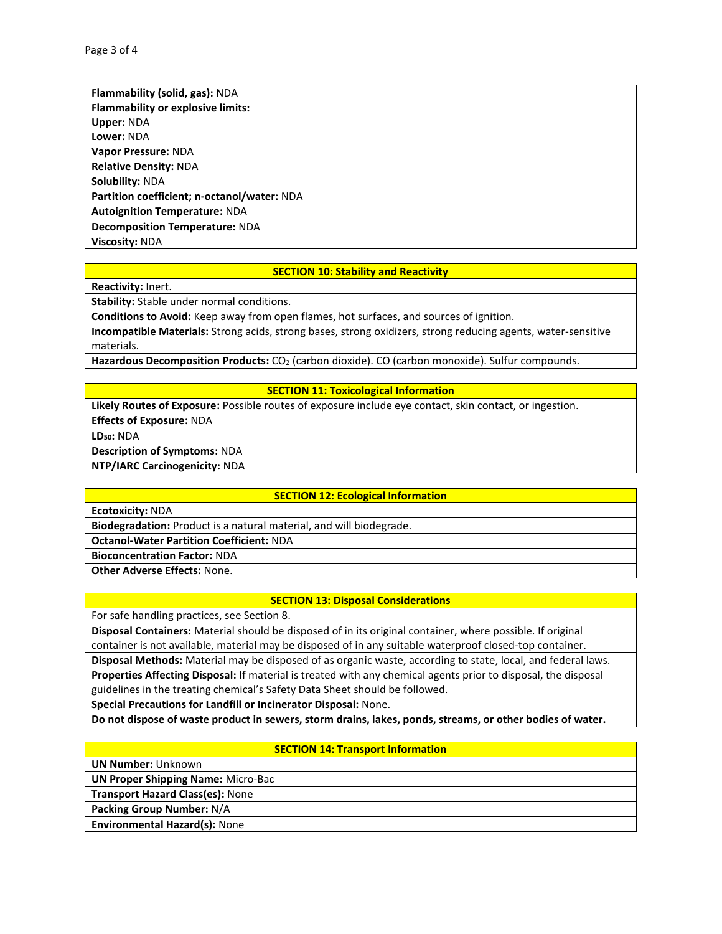| <b>Flammability (solid, gas): NDA</b>       |
|---------------------------------------------|
| <b>Flammability or explosive limits:</b>    |
| <b>Upper: NDA</b>                           |
| Lower: NDA                                  |
| Vapor Pressure: NDA                         |
| <b>Relative Density: NDA</b>                |
| Solubility: NDA                             |
| Partition coefficient; n-octanol/water: NDA |
| <b>Autoignition Temperature: NDA</b>        |
| <b>Decomposition Temperature: NDA</b>       |
| <b>Viscosity: NDA</b>                       |

## **SECTION 10: Stability and Reactivity**

**Reactivity:** Inert.

**Stability:** Stable under normal conditions.

**Conditions to Avoid:** Keep away from open flames, hot surfaces, and sources of ignition.

**Incompatible Materials:** Strong acids, strong bases, strong oxidizers, strong reducing agents, water-sensitive materials.

**Hazardous Decomposition Products:** CO<sup>2</sup> (carbon dioxide). CO (carbon monoxide). Sulfur compounds.

## **SECTION 11: Toxicological Information**

**Likely Routes of Exposure:** Possible routes of exposure include eye contact, skin contact, or ingestion. **Effects of Exposure:** NDA

**LD50:** NDA

**Description of Symptoms:** NDA

**NTP/IARC Carcinogenicity:** NDA

## **SECTION 12: Ecological Information**

**Ecotoxicity:** NDA

**Biodegradation:** Product is a natural material, and will biodegrade.

**Octanol-Water Partition Coefficient:** NDA

**Bioconcentration Factor:** NDA

**Other Adverse Effects:** None.

# **SECTION 13: Disposal Considerations**

For safe handling practices, see Section 8.

**Disposal Containers:** Material should be disposed of in its original container, where possible. If original container is not available, material may be disposed of in any suitable waterproof closed-top container.

**Disposal Methods:** Material may be disposed of as organic waste, according to state, local, and federal laws. **Properties Affecting Disposal:** If material is treated with any chemical agents prior to disposal, the disposal

guidelines in the treating chemical's Safety Data Sheet should be followed.

**Special Precautions for Landfill or Incinerator Disposal:** None.

**Do not dispose of waste product in sewers, storm drains, lakes, ponds, streams, or other bodies of water.**

# **SECTION 14: Transport Information**

**UN Number:** Unknown

**UN Proper Shipping Name:** Micro-Bac

**Transport Hazard Class(es):** None

**Packing Group Number:** N/A

**Environmental Hazard(s):** None